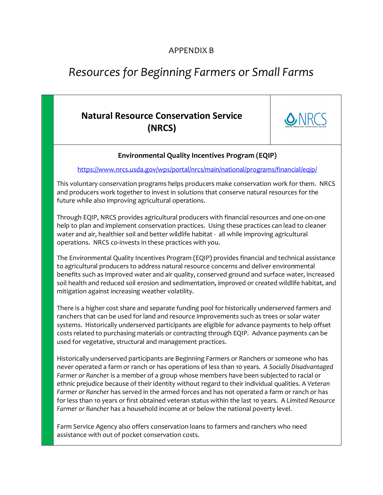### APPENDIX B

# *Resources for Beginning Farmers or Small Farms*

## **Natural Resource Conservation Service (NRCS)**



#### **Environmental Quality Incentives Program (EQIP)**

<https://www.nrcs.usda.gov/wps/portal/nrcs/main/national/programs/financial/eqip/>

This voluntary conservation programs helps producers make conservation work for them. NRCS and producers work together to invest in solutions that conserve natural resources for the future while also improving agricultural operations.

Through EQIP, NRCS provides agricultural producers with financial resources and one-on-one help to plan and implement conservation practices. Using these practices can lead to cleaner water and air, healthier soil and better wildlife habitat - all while improving agricultural operations. NRCS co-invests in these practices with you.

The Environmental Quality Incentives Program (EQIP) provides financial and technical assistance to agricultural producers to address natural resource concerns and deliver environmental benefits such as improved water and air quality, conserved ground and surface water, increased soil health and reduced soil erosion and sedimentation, improved or created wildlife habitat, and mitigation against increasing weather volatility.

There is a higher cost share and separate funding pool for historically underserved farmers and ranchers that can be used for land and resource improvements such as trees or solar water systems. Historically underserved participants are eligible for advance payments to help offset costs related to purchasing materials or contracting through EQIP. Advance payments can be used for vegetative, structural and management practices.

Historically underserved participants are Beginning Farmers or Ranchers or someone who has never operated a farm or ranch or has operations of less than 10 years*. A Socially Disadvantaged Farmer or Rancher* is a member of a group whose members have been subjected to racial or ethnic prejudice because of their identity without regard to their individual qualities. A *Veteran Farmer or Rancher* has served in the armed forces and has not operated a farm or ranch or has for less than 10 years or first obtained veteran status within the last 10 years. A *Limited Resource Farmer or Rancher* has a household income at or below the national poverty level.

Farm Service Agency also offers conservation loans to farmers and ranchers who need assistance with out of pocket conservation costs.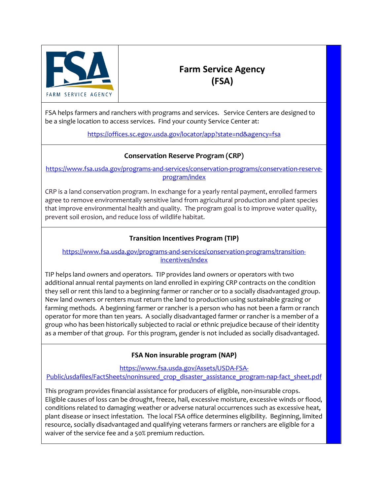

### **Farm Service Agency (FSA)**

FSA helps farmers and ranchers with programs and services. Service Centers are designed to be a single location to access services. Find your county Service Center at:

<https://offices.sc.egov.usda.gov/locator/app?state=nd&agency=fsa>

#### **Conservation Reserve Program (CRP)**

[https://www.fsa.usda.gov/programs-and-services/conservation-programs/conservation-reserve](https://www.fsa.usda.gov/programs-and-services/conservation-programs/conservation-reserve-program/index)[program/index](https://www.fsa.usda.gov/programs-and-services/conservation-programs/conservation-reserve-program/index)

CRP is a land conservation program. In exchange for a yearly rental payment, enrolled farmers agree to remove environmentally sensitive land from agricultural production and plant species that improve environmental health and quality. The program goal is to improve water quality, prevent soil erosion, and reduce loss of wildlife habitat.

#### **Transition Incentives Program (TIP)**

#### [https://www.fsa.usda.gov/programs-and-services/conservation-programs/transition](https://www.fsa.usda.gov/programs-and-services/conservation-programs/transition-incentives/index)[incentives/index](https://www.fsa.usda.gov/programs-and-services/conservation-programs/transition-incentives/index)

TIP helps land owners and operators. TIP provides land owners or operators with two additional annual rental payments on land enrolled in expiring CRP contracts on the condition they sell or rent this land to a [beginning farmer or rancher](https://gcc02.safelinks.protection.outlook.com/?url=https%3A%2F%2Fwww.fsa.usda.gov%2Fprograms-and-services%2Fconservation-programs%2Ftransition-incentives%2Findex%23beginning&data=02%7C01%7C%7C1e4fd6ad3eda48f90af908d7728aa1d1%7Ced5b36e701ee4ebc867ee03cfa0d4697%7C0%7C0%7C637103812087520821&sdata=V9Em2b2vrQM2Qw7W%2BSQUzm36UNYm6oBUZQQc0QCla%2Bo%3D&reserved=0) or to a [socially disadvantaged group.](https://gcc02.safelinks.protection.outlook.com/?url=https%3A%2F%2Fwww.fsa.usda.gov%2Fprograms-and-services%2Fconservation-programs%2Ftransition-incentives%2Findex%23social_disadvantage&data=02%7C01%7C%7C1e4fd6ad3eda48f90af908d7728aa1d1%7Ced5b36e701ee4ebc867ee03cfa0d4697%7C0%7C0%7C637103812087520821&sdata=L9DOw2aZ%2FlrBq7vFLsLlEMIkWmnKUnnRs1TAKr0P7GM%3D&reserved=0) New land owners or renters must return the land to production using sustainable grazing or farming methods. A beginning farmer or rancher is a person who has not been a farm or ranch operator for more than ten years. A socially disadvantaged farmer or rancher is a member of a group who has been historically subjected to racial or ethnic prejudice because of their identity as a member of that group. For this program, gender is not included as socially disadvantaged.

#### **FSA Non insurable program (NAP)**

[https://www.fsa.usda.gov/Assets/USDA-FSA-](https://www.fsa.usda.gov/Assets/USDA-FSA-Public/usdafiles/FactSheets/noninsured_crop_disaster_assistance_program-nap-fact_sheet.pdf)

[Public/usdafiles/FactSheets/noninsured\\_crop\\_disaster\\_assistance\\_program-nap-fact\\_sheet.pdf](https://www.fsa.usda.gov/Assets/USDA-FSA-Public/usdafiles/FactSheets/noninsured_crop_disaster_assistance_program-nap-fact_sheet.pdf)

This program provides financial assistance for producers of eligible, non-insurable crops. Eligible causes of loss can be drought, freeze, hail, excessive moisture, excessive winds or flood, conditions related to damaging weather or adverse natural occurrences such as excessive heat, plant disease or insect infestation. The local FSA office determines eligibility. Beginning, limited resource, socially disadvantaged and qualifying veterans farmers or ranchers are eligible for a waiver of the service fee and a 50% premium reduction.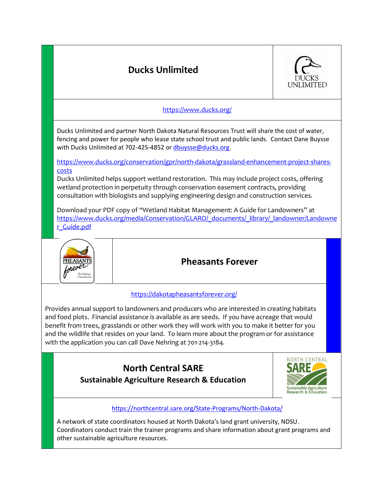

other sustainable agriculture resources.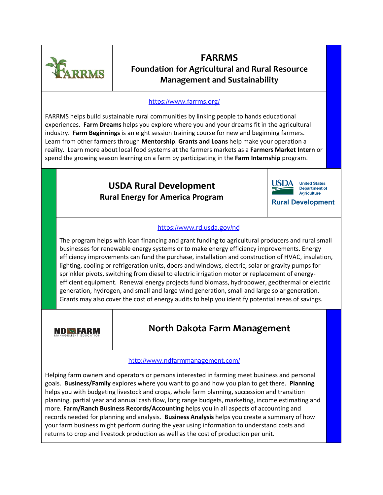

### **FARRMS Foundation for Agricultural and Rural Resource Management and Sustainability**

#### <https://www.farrms.org/>

FARRMS helps build sustainable rural communities by linking people to hands educational experiences. **Farm Dreams** helps you explore where you and your dreams fit in the agricultural industry. **Farm Beginnings** is an eight session training course for new and beginning farmers. Learn from other farmers through **Mentorship**. **Grants and Loans** help make your operation a reality. Learn more about local food systems at the farmers markets as a **Farmers Market Intern** or spend the growing season learning on a farm by participating in the **Farm Internship** program.

### **USDA Rural Development Rural Energy for America Program**



**Department of** Agriculture

**Rural Development** 

#### <https://www.rd.usda.gov/nd>

The program helps with loan financing and grant funding to agricultural producers and rural small businesses for renewable energy systems or to make energy efficiency improvements. Energy efficiency improvements can fund the purchase, installation and construction of HVAC, insulation, lighting, cooling or refrigeration units, doors and windows, electric, solar or gravity pumps for sprinkler pivots, switching from diesel to electric irrigation motor or replacement of energyefficient equipment. Renewal energy projects fund biomass, hydropower, geothermal or electric generation, hydrogen, and small and large wind generation, small and large solar generation. Grants may also cover the cost of energy audits to help you identify potential areas of savings.

**NDSFARM** 

### **North Dakota Farm Management**

#### <http://www.ndfarmmanagement.com/>

Helping farm owners and operators or persons interested in farming meet business and personal goals. **Business/Family** explores where you want to go and how you plan to get there. **Planning** helps you with budgeting livestock and crops, whole farm planning, succession and transition planning, partial year and annual cash flow, long range budgets, marketing, income estimating and more. **Farm/Ranch Business Records/Accounting** helps you in all aspects of accounting and records needed for planning and analysis. **Business Analysis** helps you create a summary of how your farm business might perform during the year using information to understand costs and returns to crop and livestock production as well as the cost of production per unit.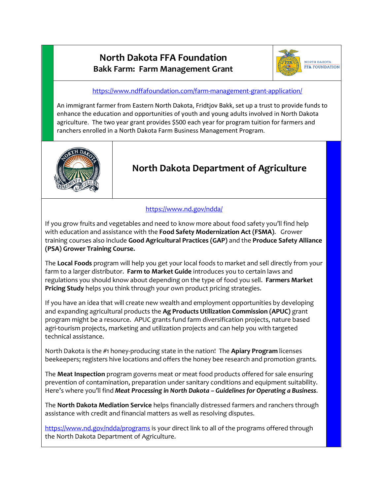### **North Dakota FFA Foundation Bakk Farm: Farm Management Grant**



<https://www.ndffafoundation.com/farm-management-grant-application/>

An immigrant farmer from Eastern North Dakota, Fridtjov Bakk, set up a trust to provide funds to enhance the education and opportunities of youth and young adults involved in North Dakota agriculture. The two year grant provides \$500 each year for program tuition for farmers and ranchers enrolled in a North Dakota Farm Business Management Program.



# **North Dakota Department of Agriculture**

#### <https://www.nd.gov/ndda/>

If you grow fruits and vegetables and need to know more about food safety you'll find help with education and assistance with the **Food Safety Modernization Act (FSMA)**. Grower training courses also include **Good Agricultural Practices (GAP)** and the **Produce Safety Alliance (PSA) Grower Training Course.** 

The **Local Foods** program will help you get your local foods to market and sell directly from your farm to a larger distributor. **Farm to Market Guide** introduces you to certain laws and regulations you should know about depending on the type of food you sell. **Farmers Market Pricing Study** helps you think through your own product pricing strategies.

If you have an idea that will create new wealth and employment opportunities by developing and expanding agricultural products the **Ag Products Utilization Commission (APUC)** grant program might be a resource. APUC grants fund farm diversification projects, nature based agri-tourism projects, marketing and utilization projects and can help you with targeted technical assistance.

North Dakota is the #1 honey-producing state in the nation! The **Apiary Program** licenses beekeepers; registers hive locations and offers the honey bee research and promotion grants.

The **Meat Inspection** program governs meat or meat food products offered for sale ensuring prevention of contamination, preparation under sanitary conditions and equipment suitability. Here's where you'll find *Meat Processing in North Dakota – Guidelines for Operating a Business*.

The **North Dakota Mediation Service** helps financially distressed farmers and ranchers through assistance with credit and financial matters as well as resolving disputes.

<https://www.nd.gov/ndda/programs> is your direct link to all of the programs offered through the North Dakota Department of Agriculture.